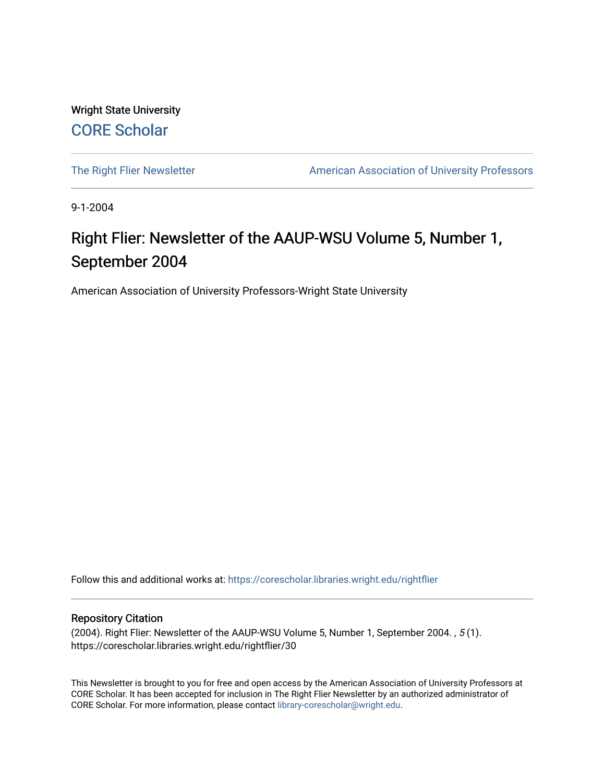Wright State University [CORE Scholar](https://corescholar.libraries.wright.edu/)

[The Right Flier Newsletter](https://corescholar.libraries.wright.edu/rightflier) **American Association of University Professors** 

9-1-2004

# Right Flier: Newsletter of the AAUP-WSU Volume 5, Number 1, September 2004

American Association of University Professors-Wright State University

Follow this and additional works at: [https://corescholar.libraries.wright.edu/rightflier](https://corescholar.libraries.wright.edu/rightflier?utm_source=corescholar.libraries.wright.edu%2Frightflier%2F30&utm_medium=PDF&utm_campaign=PDFCoverPages) 

#### Repository Citation

(2004). Right Flier: Newsletter of the AAUP-WSU Volume 5, Number 1, September 2004. , 5 (1). https://corescholar.libraries.wright.edu/rightflier/30

This Newsletter is brought to you for free and open access by the American Association of University Professors at CORE Scholar. It has been accepted for inclusion in The Right Flier Newsletter by an authorized administrator of CORE Scholar. For more information, please contact [library-corescholar@wright.edu](mailto:library-corescholar@wright.edu).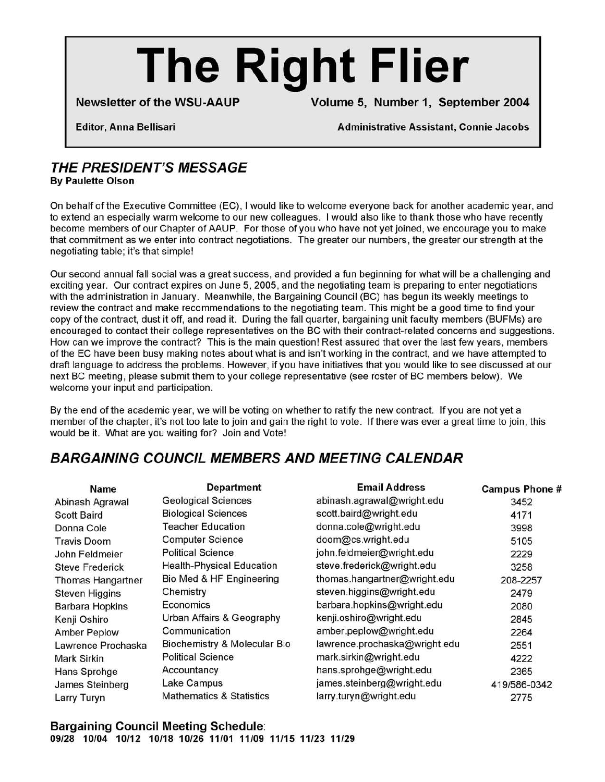# **The Right Flier**

Newsletter of the WSU-AAUP Volume 5, Number 1, September 2004

Editor, Anna Bellisari Administrative Assistant, Connie Jacobs

# THE PRESIDENT'S MESSAGE

By Paulette Olson

On behalf of the Executive Committee (EC), I would like to welcome everyone back for another academic year, and to extend an especially warm welcome to our new colleagues. I would also like to thank those who have recently become members of our Chapter of AAUP. For those of you who have not yet joined, we encourage you to make that commitment as we enter into contract negotiations. The greater our numbers, the greater our strength at the negotiating table; it's that simple!

Our second annual fall social was a great success, and provided a fun beginning for what will be a challenging and exciting year. Our contract expires on June 5, 2005, and the negotiating team is preparing to enter negotiations with the administration in January. Meanwhile, the Bargaining Council (BC) has begun its weekly meetings to review the contract and make recommendations to the negotiating team. This might be a good time to find your copy of the contract, dust it off, and read it. During the fall quarter, bargaining unit faculty members (BUFMs) are encouraged to contact their college representatives on the BC with their contract-related concerns and suggestions. How can we improve the contract? This is the main question! Rest assured that over the last few years, members of the EC have been busy making notes about what is and isn't working in the contract, and we have attempted to draft language to address the problems. However, if you have initiatives that you would like to see discussed at our next BC meeting, please submit them to your college representative (see roster of BC members below). We welcome your input and participation.

By the end of the academic year, we will be voting on whether to ratify the new contract. If you are not yet a member of the chapter, it's not too late to join and gain the right to vote. If there was ever a great time to join, this would be it. What are you waiting for? Join and Vote!

## BARGAINING COUNCIL MEMBERS AND MEETING CALENDAR

| Name                   | <b>Department</b>                   | <b>Email Address</b>          | <b>Campus Phone #</b> |
|------------------------|-------------------------------------|-------------------------------|-----------------------|
| Abinash Agrawal        | <b>Geological Sciences</b>          | abinash.agrawal@wright.edu    | 3452                  |
| <b>Scott Baird</b>     | <b>Biological Sciences</b>          | scott.baird@wright.edu        | 4171                  |
| Donna Cole             | Teacher Education                   | donna.cole@wright.edu         | 3998                  |
| <b>Travis Doom</b>     | <b>Computer Science</b>             | doom@cs.wright.edu            | 5105                  |
| John Feldmeier         | <b>Political Science</b>            | john.feldmeier@wright.edu     | 2229                  |
| <b>Steve Frederick</b> | <b>Health-Physical Education</b>    | steve.frederick@wright.edu    | 3258                  |
| Thomas Hangartner      | Bio Med & HF Engineering            | thomas.hangartner@wright.edu  | 208-2257              |
| <b>Steven Higgins</b>  | Chemistry                           | steven.higgins@wright.edu     | 2479                  |
| <b>Barbara Hopkins</b> | Economics                           | barbara.hopkins@wright.edu    | 2080                  |
| Kenji Oshiro           | Urban Affairs & Geography           | kenji.oshiro@wright.edu       | 2845                  |
| <b>Amber Peplow</b>    | Communication                       | amber.peplow@wright.edu       | 2264                  |
| Lawrence Prochaska     | Biochemistry & Molecular Bio        | lawrence.prochaska@wright.edu | 2551                  |
| Mark Sirkin            | <b>Political Science</b>            | mark.sirkin@wright.edu        | 4222                  |
| Hans Sprohge           | Accountancy                         | hans.sprohge@wright.edu       | 2365                  |
| James Steinberg        | Lake Campus                         | james.steinberg@wright.edu    | 419/586-0342          |
| Larry Turyn            | <b>Mathematics &amp; Statistics</b> | larry.turyn@wright.edu        | 2775                  |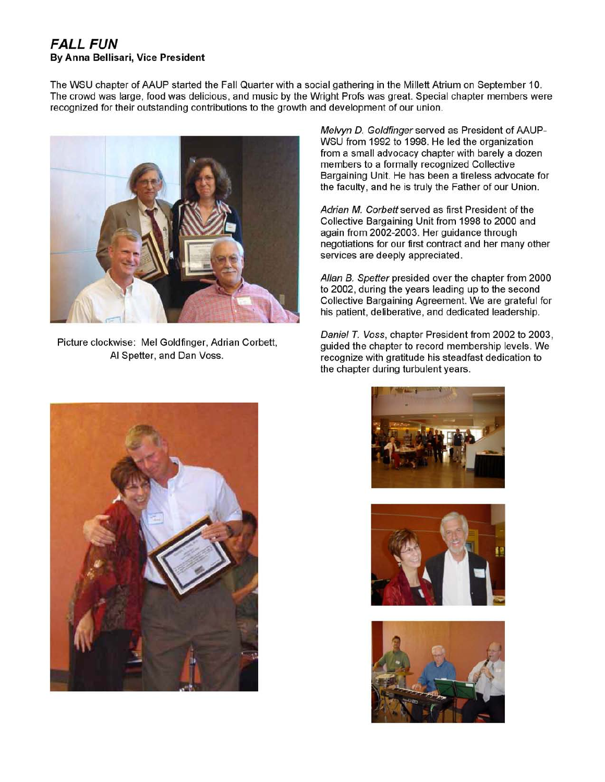### FALL FUN By Anna Bellisari, Vice President

The WSU chapter of AAUP started the Fall Quarter with a social gathering in the Millett Atrium on September 10. The crowd was large, food was delicious, and music by the Wright Profs was great. Special chapter members were recognized for their outstanding contributions to the growth and development of our union.



Picture clockwise: Mel Goldfinger, Adrian Corbett, AI Spetter, and Dan Voss.

Melvyn D. Goldfinger served as President of AAUP-WSU from 1992 to 1998. He led the organization from a small advocacy chapter with barely a dozen members to a formally recognized Collective Bargaining Unit. He has been a tireless advocate for the faculty, and he is truly the Father of our Union.

Adrian M. Corbett served as first President of the Collective Bargaining Unit from 1998 to 2000 and again from 2002-2003. Her guidance through negotiations for our first contract and her many other services are deeply appreciated.

Allan B. Spetter presided over the chapter from 2000 to 2002, during the years leading up to the second Collective Bargaining Agreement. We are grateful for his patient, deliberative, and dedicated leadership.

Daniel *T.* Voss, chapter President from 2002 to 2003, guided the chapter to record membership levels. We recognize with gratitude his steadfast dedication to the chapter during turbulent years.







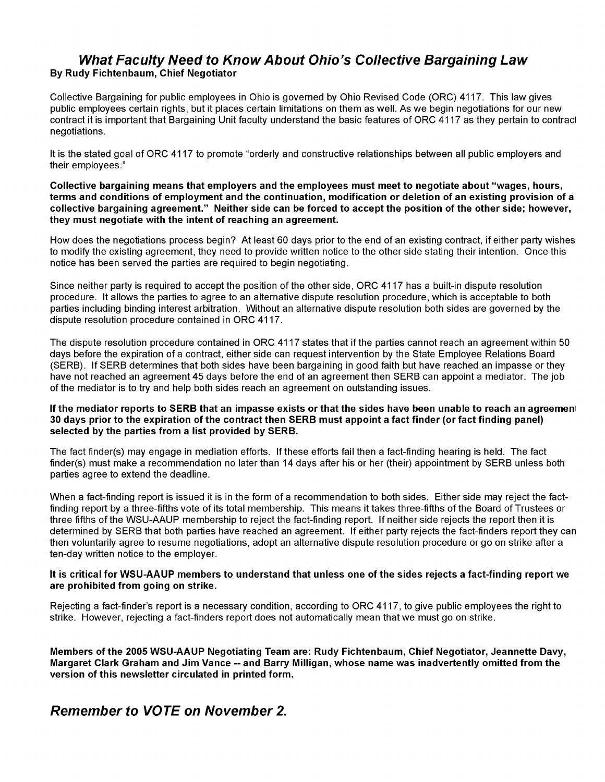#### What Faculty Need to Know About Ohio's Collective Bargaining Law By Rudy Fichtenbaum, Chief Negotiator

Collective Bargaining for public employees in Ohio is governed by Ohio Revised Code (ORC) 4117. This law gives public employees certain rights, but it places certain limitations on them as well. As we begin negotiations for our new contract it is important that Bargaining Unit faculty understand the basic features of ORC 4117 as they pertain to contrac1 negotiations.

It is the stated goal of ORC 4117 to promote "orderly and constructive relationships between all public employers and their employees."

Collective bargaining means that employers and the employees must meet to negotiate about "wages, hours, terms and conditions of employment and the continuation, modification or deletion of an existing provision of a collective bargaining agreement." Neither side can be forced to accept the position of the other side; however, they must negotiate with the intent of reaching an agreement.

How does the negotiations process begin? At least 60 days prior to the end of an existing contract, if either party wishes to modify the existing agreement, they need to provide written notice to the other side stating their intention. Once this notice has been served the parties are required to begin negotiating.

Since neither party is required to accept the position of the other side, ORC 4117 has a built-in dispute resolution procedure. It allows the parties to agree to an alternative dispute resolution procedure, which is acceptable to both parties including binding interest arbitration. Without an alternative dispute resolution both sides are governed by the dispute resolution procedure contained in ORC 4117.

The dispute resolution procedure contained in ORC 4117 states that if the parties cannot reach an agreement within 50 days before the expiration of a contract, either side can request intervention by the State Employee Relations Board (SERB). If SERB determines that both sides have been bargaining in good faith but have reached an impasse or they have not reached an agreement 45 days before the end of an agreement then SERB can appoint a mediator. The job of the mediator is to try and help both sides reach an agreement on outstanding issues.

#### If the mediator reports to SERB that an impasse exists or that the sides have been unable to reach an agreement 30 days prior to the expiration of the contract then SERB must appoint a fact finder (or fact finding panel) selected by the parties from a list provided by SERB.

The fact finder(s) may engage in mediation efforts. If these efforts fail then a fact-finding hearing is held. The fact finder(s) must make a recommendation no later than 14 days after his or her (their) appointment by SERB unless both parties agree to extend the deadline.

When a fact-finding report is issued it is in the form of a recommendation to both sides. Either side may reject the factfinding report by a three-fifths vote of its total membership. This means it takes three-fifths of the Board of Trustees or three fifths of the WSU-AAUP membership to reject the fact-finding report. If neither side rejects the report then it is determined by SERB that both parties have reached an agreement. If either party rejects the fact-finders report they can then voluntarily agree to resume negotiations, adopt an alternative dispute resolution procedure or go on strike after a ten-day written notice to the employer.

#### It is critical for WSU-AAUP members to understand that unless one of the sides rejects a fact-finding report we are prohibited from going on strike.

Rejecting a fact-finder's report is a necessary condition, according to ORC 4117, to give public employees the right to strike. However, rejecting a fact-finders report does not automatically mean that we must go on strike.

Members of the 2005 WSU-AAUP Negotiating Team are: Rudy Fichtenbaum, Chief Negotiator, Jeannette Davy, Margaret Clark Graham and Jim Vance -- and Barry Milligan, whose name was inadvertently omitted from the version of this newsletter circulated in printed form.

Remember to VOTE on November 2.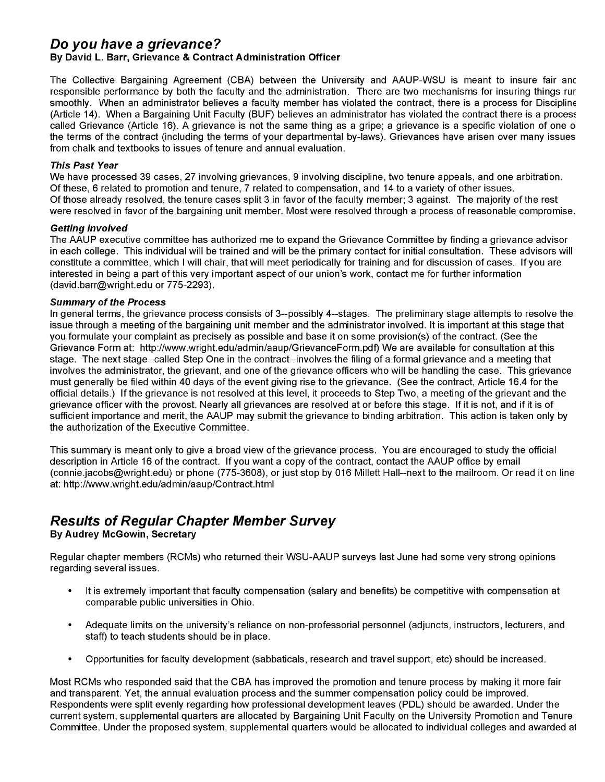## **Do you have a grievance?**

#### By David L. Barr, Grievance & Contract Administration Officer

The Collective Bargaining Agreement (CBA) between the University and AAUP-WSU is meant to insure fair anc responsible performance by both the faculty and the administration. There are two mechanisms for insuring things rur smoothly. When an administrator believes a faculty member has violated the contract, there is a process for Discipline (Article 14). When a Bargaining Unit Faculty (BUF) believes an administrator has violated the contract there is a process called Grievance (Article 16). A grievance is not the same thing as a gripe; a grievance is a specific violation of one 0 the terms of the contract (including the terms of your departmental by-laws). Grievances have arisen over many issues from chalk and textbooks to issues of tenure and annual evaluation.

#### This Past Year

We have processed 39 cases, 27 involving grievances, 9 involving discipline, two tenure appeals, and one arbitration. Of these, 6 related to promotion and tenure, 7 related to compensation, and 14 to a variety of other issues. Of those already resolved, the tenure cases split 3 in favor of the faculty member; 3 against. The majority of the rest were resolved in favor of the bargaining unit member. Most were resolved through a process of reasonable compromise.

#### Getting Involved

The AAUP executive committee has authorized me to expand the Grievance Committee by finding a grievance advisor in each college. This individual will be trained and will be the primary contact for initial consultation. These advisors will constitute a committee, which I will chair, that will meet periodically for training and for discussion of cases. If you are interested in being a part of this very important aspect of our union's work, contact me for further information (david.barr@wright.edu or 775-2293).

#### Summary of the Process

In general terms, the grievance process consists of 3--possibly 4--stages. The preliminary stage attempts to resolve the issue through a meeting of the bargaining unit member and the administrator involved. It is important at this stage that you formulate your complaint as precisely as possible and base it on some provision(s) of the contract. (See the Grievance Form at: http://www.wright.edu/admin/aaup/GrievanceForm.pdf) We are available for consultation at this stage. The next stage--called Step One in the contract--involves the filing of a formal grievance and a meeting that involves the administrator, the grievant, and one of the grievance officers who will be handling the case. This grievance must generally be filed within 40 days of the event giving rise to the grievance. (See the contract, Article 16.4 for the official details.) If the grievance is not resolved at this level, it proceeds to Step Two, a meeting of the grievant and the grievance officer with the provost. Nearly all grievances are resolved at or before this stage. If it is not, and if it is of sufficient importance and merit, the AAUP may submit the grievance to binding arbitration. This action is taken only by the authorization of the Executive Committee.

This summary is meant only to give a broad view of the grievance process. You are encouraged to study the official description in Article 16 of the contract. If you want a copy of the contract, contact the AAUP office by email (connie.jacobs@wright.edu) or phone (775-3608), or just stop by 016 Millett Hall--next to the mailroom. Or read it on line at: http://www.wright.edu/admin/aaup/Contract.html

# **Results of Regular Chapter Member Survey**

#### By Audrey McGowin, Secretary

Regular chapter members (RCMs) who returned their WSU-AAUP surveys last June had some very strong opinions regarding several issues.

- It is extremely important that faculty compensation (salary and benefits) be competitive with compensation at comparable public universities in Ohio.
- Adequate limits on the university's reliance on non-professorial personnel (adjuncts, instructors, lecturers, and staff) to teach students should be in place.
- Opportunities for faculty development (sabbaticals, research and travel support, etc) should be increased.

Most RCMs who responded said that the CBA has improved the promotion and tenure process by making it more fair and transparent. Yet, the annual evaluation process and the summer compensation policy could be improved. Respondents were split evenly regarding how professional development leaves (POL) should be awarded. Under the current system, supplemental quarters are allocated by Bargaining Unit Faculty on the University Promotion and Tenure Committee. Under the proposed system, supplemental quarters would be allocated to individual colleges and awarded a1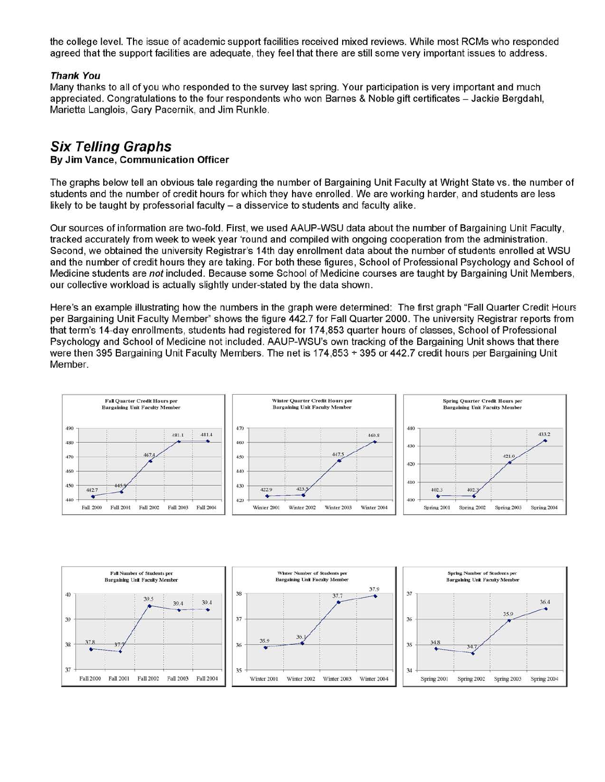the college level. The issue of academic support facilities received mixed reviews. While most RCMs who responded agreed that the support facilities are adequate, they feel that there are still some very important issues to address.

#### Thank You

Many thanks to all of you who responded to the survey last spring. Your participation is very important and much appreciated. Congratulations to the four respondents who won Barnes & Noble gift certificates - Jackie Bergdahl, Marietta Langlois, Gary Pacernik, and Jim Runkle.

# **Six Telling Graphs**

#### By Jim Vance, Communication Officer

The graphs below tell an obvious tale regarding the number of Bargaining Unit Faculty at Wright State vs. the number of students and the number of credit hours for which they have enrolled. We are working harder, and students are less likely to be taught by professorial faculty  $-$  a disservice to students and faculty alike.

Our sources of information are two-fold. First, we used AAUP-WSU data about the number of Bargaining Unit Faculty, tracked accurately from week to week year 'round and compiled with ongoing cooperation from the administration. Second, we obtained the university Registrar's 14th day enrollment data about the number of students enrolled at WSU and the number of credit hours they are taking. For both these figures, School of Professional Psychology and School of Medicine students are *not* included. Because some School of Medicine courses are taught by Bargaining Unit Members, our collective workload is actually slightly under-stated by the data shown.

Here's an example illustrating how the numbers in the graph were determined: The first graph "Fall Quarter Credit Hours" per Bargaining Unit Faculty Member" shows the figure 442.7 for Fall Quarter 2000. The university Registrar reports from that term's 14-day enrollments, students had registered for 174,853 quarter hours of classes, School of Professional Psychology and School of Medicine not included. AAUP-WSU's own tracking of the Bargaining Unit shows that there were then 395 Bargaining Unit Faculty Members. The net is 174,853 + 395 or 442.7 credit hours per Bargaining Unit Member.